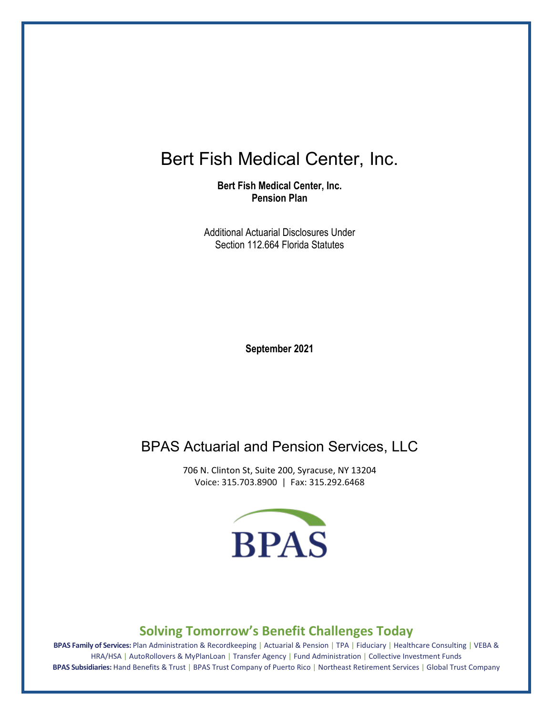# Bert Fish Medical Center, Inc.

**Bert Fish Medical Center, Inc. Pension Plan** 

Additional Actuarial Disclosures Under Section 112.664 Florida Statutes

**September 2021**

## BPAS Actuarial and Pension Services, LLC

706 N. Clinton St, Suite 200, Syracuse, NY 13204 Voice: 315.703.8900 | Fax: 315.292.6468



#### **Solving Tomorrow's Benefit Challenges Today**

**BPAS Family of Services:** Plan Administration & Recordkeeping | Actuarial & Pension | TPA | Fiduciary | Healthcare Consulting | VEBA & HRA/HSA | AutoRollovers & MyPlanLoan | Transfer Agency | Fund Administration | Collective Investment Funds **BPAS Subsidiaries:** Hand Benefits & Trust | BPAS Trust Company of Puerto Rico | Northeast Retirement Services | Global Trust Company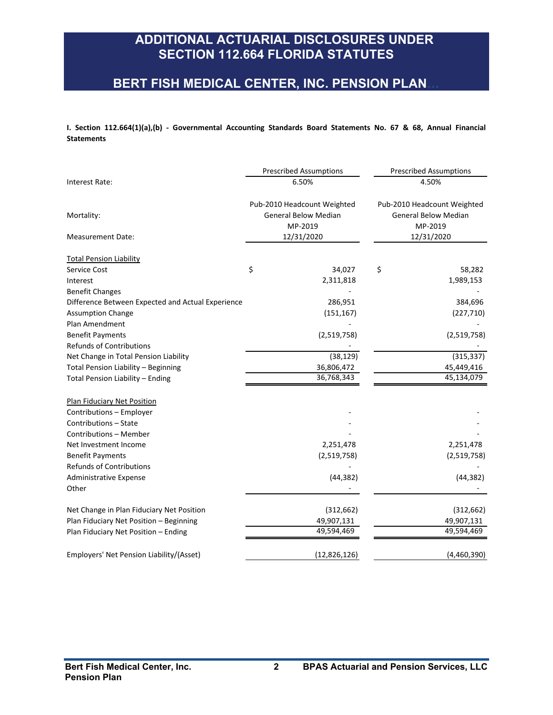#### **BERT FISH MEDICAL CENTER, INC. PENSION PLAN…**

**I. Section 112.664(1)(a),(b) - Governmental Accounting Standards Board Statements No. 67 & 68, Annual Financial Statements**

|                                                   | <b>Prescribed Assumptions</b> | <b>Prescribed Assumptions</b>                                                                                                                        |  |
|---------------------------------------------------|-------------------------------|------------------------------------------------------------------------------------------------------------------------------------------------------|--|
| Interest Rate:                                    | 6.50%                         | 4.50%<br>Pub-2010 Headcount Weighted<br><b>General Below Median</b><br><b>General Below Median</b><br>MP-2019<br>MP-2019<br>12/31/2020<br>12/31/2020 |  |
| Mortality:<br>Measurement Date:                   | Pub-2010 Headcount Weighted   |                                                                                                                                                      |  |
| <b>Total Pension Liability</b>                    |                               |                                                                                                                                                      |  |
| Service Cost                                      | \$<br>34,027                  | \$<br>58,282                                                                                                                                         |  |
| Interest                                          | 2,311,818                     | 1,989,153                                                                                                                                            |  |
| <b>Benefit Changes</b>                            |                               |                                                                                                                                                      |  |
| Difference Between Expected and Actual Experience | 286,951                       | 384,696                                                                                                                                              |  |
| <b>Assumption Change</b>                          | (151, 167)                    | (227, 710)                                                                                                                                           |  |
| Plan Amendment                                    |                               |                                                                                                                                                      |  |
| <b>Benefit Payments</b>                           | (2,519,758)                   | (2,519,758)                                                                                                                                          |  |
| <b>Refunds of Contributions</b>                   |                               |                                                                                                                                                      |  |
| Net Change in Total Pension Liability             | (38, 129)                     | (315, 337)                                                                                                                                           |  |
| Total Pension Liability - Beginning               | 36,806,472                    | 45,449,416                                                                                                                                           |  |
| Total Pension Liability - Ending                  | 36,768,343                    | 45,134,079                                                                                                                                           |  |
| <b>Plan Fiduciary Net Position</b>                |                               |                                                                                                                                                      |  |
| Contributions - Employer                          |                               |                                                                                                                                                      |  |
| Contributions - State                             |                               |                                                                                                                                                      |  |
| Contributions - Member                            |                               |                                                                                                                                                      |  |
| Net Investment Income                             | 2,251,478                     | 2,251,478                                                                                                                                            |  |
| <b>Benefit Payments</b>                           | (2,519,758)                   | (2,519,758)                                                                                                                                          |  |
| <b>Refunds of Contributions</b>                   |                               |                                                                                                                                                      |  |
| <b>Administrative Expense</b>                     | (44, 382)                     | (44, 382)                                                                                                                                            |  |
| Other                                             |                               |                                                                                                                                                      |  |
| Net Change in Plan Fiduciary Net Position         | (312, 662)                    | (312, 662)                                                                                                                                           |  |
| Plan Fiduciary Net Position - Beginning           | 49,907,131                    | 49,907,131                                                                                                                                           |  |
| Plan Fiduciary Net Position - Ending              | 49,594,469                    | 49,594,469                                                                                                                                           |  |
| Employers' Net Pension Liability/(Asset)          | (12,826,126)                  | (4,460,390)                                                                                                                                          |  |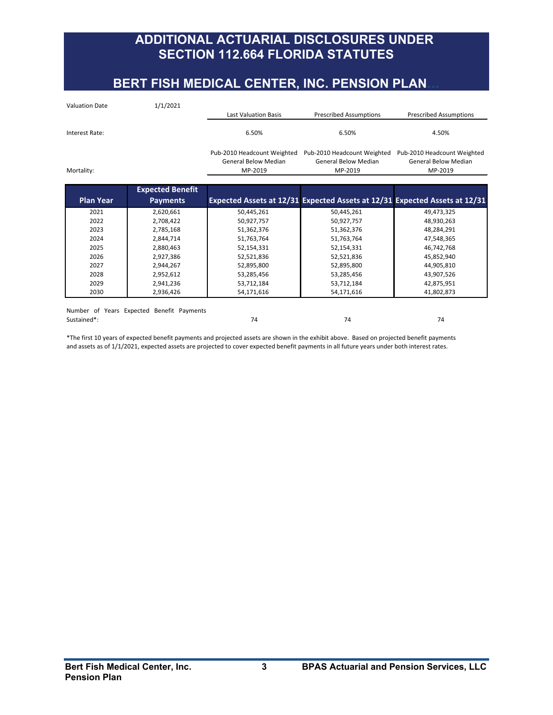## **BERT FISH MEDICAL CENTER, INC. PENSION PLAN**

| <b>Valuation Date</b> | 1/1/2021                                  |                             |                               |                                                                            |
|-----------------------|-------------------------------------------|-----------------------------|-------------------------------|----------------------------------------------------------------------------|
|                       |                                           | <b>Last Valuation Basis</b> | <b>Prescribed Assumptions</b> | <b>Prescribed Assumptions</b>                                              |
| Interest Rate:        |                                           | 6.50%                       | 6.50%                         | 4.50%                                                                      |
|                       |                                           | Pub-2010 Headcount Weighted | Pub-2010 Headcount Weighted   | Pub-2010 Headcount Weighted                                                |
|                       |                                           | <b>General Below Median</b> | <b>General Below Median</b>   | <b>General Below Median</b>                                                |
| Mortality:            |                                           | MP-2019                     | MP-2019                       | MP-2019                                                                    |
|                       |                                           |                             |                               |                                                                            |
|                       | <b>Expected Benefit</b>                   |                             |                               |                                                                            |
| <b>Plan Year</b>      | <b>Payments</b>                           |                             |                               | Expected Assets at 12/31 Expected Assets at 12/31 Expected Assets at 12/31 |
| 2021                  | 2,620,661                                 | 50,445,261                  | 50,445,261                    | 49,473,325                                                                 |
| 2022                  | 2,708,422                                 | 50,927,757                  | 50,927,757                    | 48,930,263                                                                 |
| 2023                  | 2,785,168                                 | 51,362,376                  | 51,362,376                    | 48,284,291                                                                 |
| 2024                  | 2,844,714                                 | 51,763,764                  | 51,763,764                    | 47,548,365                                                                 |
| 2025                  | 2,880,463                                 | 52,154,331                  | 52,154,331                    | 46,742,768                                                                 |
| 2026                  | 2,927,386                                 | 52,521,836                  | 52,521,836                    | 45,852,940                                                                 |
| 2027                  | 2,944,267                                 | 52,895,800                  | 52,895,800                    | 44,905,810                                                                 |
| 2028                  | 2,952,612                                 | 53,285,456                  | 53,285,456                    | 43,907,526                                                                 |
| 2029                  | 2,941,236                                 | 53,712,184                  | 53,712,184                    | 42,875,951                                                                 |
| 2030                  | 2,936,426                                 | 54,171,616                  | 54,171,616                    | 41,802,873                                                                 |
|                       |                                           |                             |                               |                                                                            |
|                       | Number of Years Expected Benefit Payments |                             |                               |                                                                            |
| Sustained*:           |                                           | 74                          | 74                            | 74                                                                         |

\*The first 10 years of expected benefit payments and projected assets are shown in the exhibit above. Based on projected benefit payments and assets as of 1/1/2021, expected assets are projected to cover expected benefit payments in all future years under both interest rates.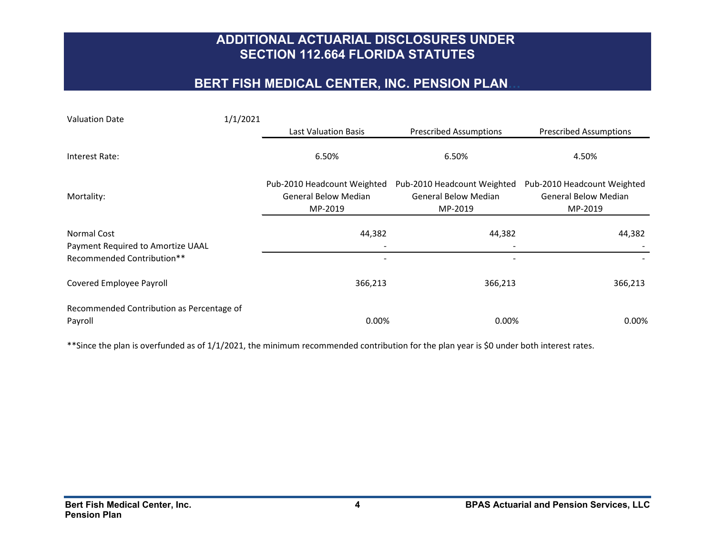## **BERT FISH MEDICAL CENTER, INC. PENSION PLAN…**

| <b>Valuation Date</b>                                  | 1/1/2021 |                                                                       |                                                                       |                                                                       |
|--------------------------------------------------------|----------|-----------------------------------------------------------------------|-----------------------------------------------------------------------|-----------------------------------------------------------------------|
|                                                        |          | <b>Last Valuation Basis</b>                                           | <b>Prescribed Assumptions</b>                                         | <b>Prescribed Assumptions</b>                                         |
| Interest Rate:                                         |          | 6.50%                                                                 | 6.50%                                                                 | 4.50%                                                                 |
| Mortality:                                             |          | Pub-2010 Headcount Weighted<br><b>General Below Median</b><br>MP-2019 | Pub-2010 Headcount Weighted<br><b>General Below Median</b><br>MP-2019 | Pub-2010 Headcount Weighted<br><b>General Below Median</b><br>MP-2019 |
| Normal Cost<br>Payment Required to Amortize UAAL       |          | 44,382                                                                | 44,382                                                                | 44,382                                                                |
| Recommended Contribution**<br>Covered Employee Payroll |          | 366,213                                                               | 366,213                                                               | 366,213                                                               |
| Recommended Contribution as Percentage of<br>Payroll   |          | 0.00%                                                                 | 0.00%                                                                 | $0.00\%$                                                              |

\*\*Since the plan is overfunded as of 1/1/2021, the minimum recommended contribution for the plan year is \$0 under both interest rates.